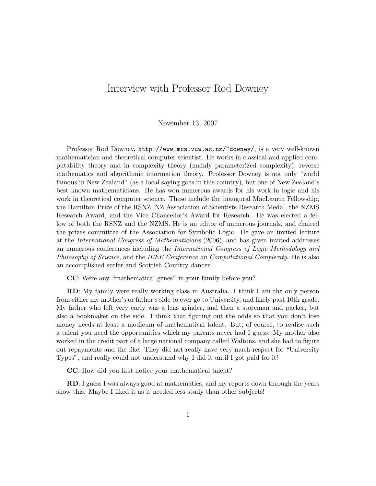## Interview with Professor Rod Downey

## November 13, 2007

Professor Rod Downey, http://www.mcs.vuw.ac.nz/~downey/, is a very well-known mathematician and theoretical computer scientist. He works in classical and applied computability theory and in complexity theory (mainly parameterized complexity), reverse mathematics and algorithmic information theory. Professor Downey is not only "world famous in New Zealand" (as a local saying goes in this country), but one of New Zealand's best known mathematicians. He has won numerous awards for his work in logic and his work in theoretical computer science. These include the inaugural MacLaurin Fellowship, the Hamilton Prize of the RSNZ, NZ Association of Scientists Research Medal, the NZMS Research Award, and the Vice Chancellor's Award for Research. He was elected a fellow of both the RSNZ and the NZMS. He is an editor of numerous journals, and chaired the prizes committee of the Association for Symbolic Logic. He gave an invited lecture at the International Congress of Mathematicians (2006), and has given invited addresses an numerous conferences including the International Congress of Logic Methodology and Philosophy of Science, and the IEEE Conference on Computational Complexity. He is also an accomplished surfer and Scottish Country dancer.

CC: Were any "mathematical genes" in your family before you?

RD: My family were really working class in Australia. I think I am the only person from either my mother's or father's side to ever go to University, and likely past 10th grade. My father who left very early was a lens grinder, and then a storeman and packer, but also a bookmaker on the side. I think that figuring out the odds so that you don't lose money needs at least a modicum of mathematical talent. But, of course, to realise such a talent you need the opportunities which my parents never had I guess. My mother also worked in the credit part of a large national company called Waltons, and she had to figure out repayments and the like. They did not really have very much respect for "University Types", and really could not understand why I did it until I got paid for it!

CC: How did you first notice your mathematical talent?

RD: I guess I was always good at mathematics, and my reports down through the years show this. Maybe I liked it as it needed less study than other subjects!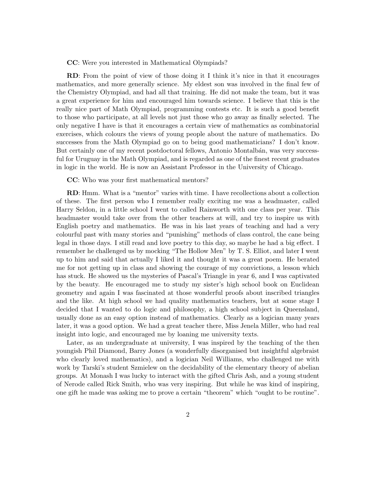CC: Were you interested in Mathematical Olympiads?

RD: From the point of view of those doing it I think it's nice in that it encourages mathematics, and more generally science. My eldest son was involved in the final few of the Chemistry Olympiad, and had all that training. He did not make the team, but it was a great experience for him and encouraged him towards science. I believe that this is the really nice part of Math Olympiad, programming contests etc. It is such a good benefit to those who participate, at all levels not just those who go away as finally selected. The only negative I have is that it encourages a certain view of mathematics as combinatorial exercises, which colours the views of young people about the nature of mathematics. Do successes from the Math Olympiad go on to being good mathematicians? I don't know. But certainly one of my recent postdoctoral fellows, Antonio Montalbán, was very successful for Uruguay in the Math Olympiad, and is regarded as one of the finest recent graduates in logic in the world. He is now an Assistant Professor in the University of Chicago.

CC: Who was your first mathematical mentors?

RD: Hmm. What is a "mentor" varies with time. I have recollections about a collection of these. The first person who I remember really exciting me was a headmaster, called Harry Seldon, in a little school I went to called Rainworth with one class per year. This headmaster would take over from the other teachers at will, and try to inspire us with English poetry and mathematics. He was in his last years of teaching and had a very colourful past with many stories and "punishing" methods of class control, the cane being legal in those days. I still read and love poetry to this day, so maybe he had a big effect. I remember he challenged us by mocking "The Hollow Men" by T. S. Elliot, and later I went up to him and said that actually I liked it and thought it was a great poem. He berated me for not getting up in class and showing the courage of my convictions, a lesson which has stuck. He showed us the mysteries of Pascal's Triangle in year 6, and I was captivated by the beauty. He encouraged me to study my sister's high school book on Euclidean geometry and again I was fascinated at those wonderful proofs about inscribed triangles and the like. At high school we had quality mathematics teachers, but at some stage I decided that I wanted to do logic and philosophy, a high school subject in Queensland, usually done as an easy option instead of mathematics. Clearly as a logician many years later, it was a good option. We had a great teacher there, Miss Jenela Miller, who had real insight into logic, and encouraged me by loaning me university texts.

Later, as an undergraduate at university, I was inspired by the teaching of the then youngish Phil Diamond, Barry Jones (a wonderfully disorganised but insightful algebraist who clearly loved mathematics), and a logician Neil Williams, who challenged me with work by Tarski's student Szmielew on the decidability of the elementary theory of abelian groups. At Monash I was lucky to interact with the gifted Chris Ash, and a young student of Nerode called Rick Smith, who was very inspiring. But while he was kind of inspiring, one gift he made was asking me to prove a certain "theorem" which "ought to be routine".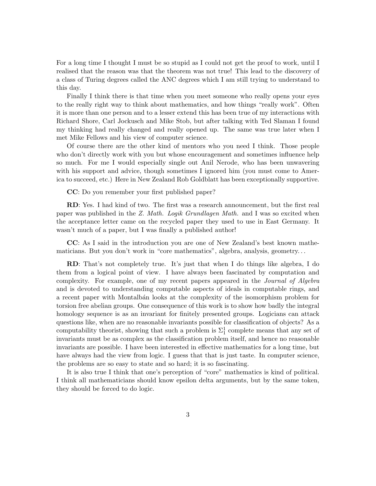For a long time I thought I must be so stupid as I could not get the proof to work, until I realised that the reason was that the theorem was not true! This lead to the discovery of a class of Turing degrees called the ANC degrees which I am still trying to understand to this day.

Finally I think there is that time when you meet someone who really opens your eyes to the really right way to think about mathematics, and how things "really work". Often it is more than one person and to a lesser extend this has been true of my interactions with Richard Shore, Carl Jockusch and Mike Stob, but after talking with Ted Slaman I found my thinking had really changed and really opened up. The same was true later when I met Mike Fellows and his view of computer science.

Of course there are the other kind of mentors who you need I think. Those people who don't directly work with you but whose encouragement and sometimes influence help so much. For me I would especially single out Anil Nerode, who has been unwavering with his support and advice, though sometimes I ignored him (you must come to America to succeed, etc.) Here in New Zealand Rob Goldblatt has been exceptionally supportive.

CC: Do you remember your first published paper?

RD: Yes. I had kind of two. The first was a research announcement, but the first real paper was published in the Z. Math. Logik Grundlagen Math. and I was so excited when the acceptance letter came on the recycled paper they used to use in East Germany. It wasn't much of a paper, but I was finally a published author!

CC: As I said in the introduction you are one of New Zealand's best known mathematicians. But you don't work in "core mathematics", algebra, analysis, geometry. . .

RD: That's not completely true. It's just that when I do things like algebra, I do them from a logical point of view. I have always been fascinated by computation and complexity. For example, one of my recent papers appeared in the Journal of Algebra and is devoted to understanding computable aspects of ideals in computable rings, and a recent paper with Montalb´an looks at the complexity of the isomorphism problem for torsion free abelian groups. One consequence of this work is to show how badly the integral homology sequence is as an invariant for finitely presented groups. Logicians can attack questions like, when are no reasonable invariants possible for classification of objects? As a computability theorist, showing that such a problem is  $\Sigma_1^1$  complete means that any set of invariants must be as complex as the classification problem itself, and hence no reasonable invariants are possible. I have been interested in effective mathematics for a long time, but have always had the view from logic. I guess that that is just taste. In computer science, the problems are so easy to state and so hard; it is so fascinating.

It is also true I think that one's perception of "core" mathematics is kind of political. I think all mathematicians should know epsilon delta arguments, but by the same token, they should be forced to do logic.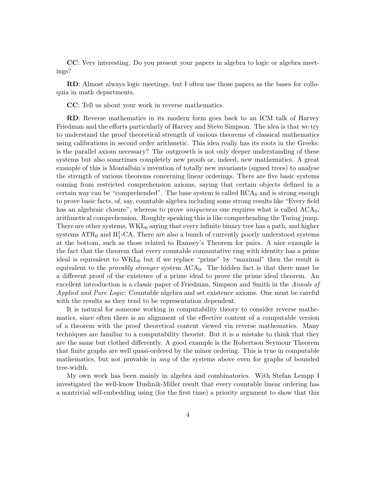CC: Very interesting. Do you present your papers in algebra to logic or algebra meetings?

RD: Almost always logic meetings, but I often use those papers as the bases for colloquia in math departments.

CC: Tell us about your work in reverse mathematics.

RD: Reverse mathematics in its modern form goes back to an ICM talk of Harvey Friedman and the efforts particularly of Harvey and Steve Simpson. The idea is that we try to understand the proof theoretical strength of various theorems of classical mathematics using calibrations in second order arithmetic. This idea really has its roots in the Greeks: is the parallel axiom necessary? The outgrowth is not only deeper understanding of these systems but also sometimes completely new proofs or, indeed, new mathematics. A great example of this is Montalbán's invention of totally new invariants (signed trees) to analyse the strength of various theorems concerning linear orderings. There are five basic systems coming from restricted comprehension axioms, saying that certain objects defined in a certain way can be "comprehended". The base system is called  $RCA<sub>0</sub>$  and is strong enough to prove basic facts, of, say, countable algebra including some strong results like "Every field has an algebraic closure", whereas to prove *uniqueness* one requires what is called  $ACA_0$ , arithmetical comprehension. Roughly speaking this is like comprehending the Turing jump. There are other systems, WKL<sub>0</sub> saying that every infinite binary tree has a path, and higher systems  $\text{ATR}_0$  and  $\Pi_1^1$ -CA. There are also a bunch of currently poorly understood systems at the bottom, such as those related to Ramsey's Theorem for pairs. A nice example is the fact that the theorem that every countable commutative ring with identity has a prime ideal is equivalent to  $WKL_0$  but if we replace "prime" by "maximal" then the result is equivalent to the *provably stronger* system  $ACA_0$ . The hidden fact is that there must be a different proof of the existence of a prime ideal to prove the prime ideal theorem. An excellent introduction is a classic paper of Friedman, Simpson and Smith in the Annals of Applied and Pure Logic: Countable algebra and set existence axioms. One must be careful with the results as they tend to be representation dependent.

It is natural for someone working in computability theory to consider reverse mathematics, since often there is an alignment of the effective content of a computable version of a theorem with the proof theoretical content viewed via reverse mathematics. Many techniques are familiar to a computability theorist. But it is a mistake to think that they are the same but clothed differently. A good example is the Robertson Seymour Theorem that finite graphs are well quasi-ordered by the minor ordering. This is true in computable mathematics, but not provable in any of the systems above even for graphs of bounded tree-width.

My own work has been mainly in algebra and combinatorics. With Stefan Lempp I investigated the well-know Dushnik-Miller result that every countable linear ordering has a nontrivial self-embedding using (for the first time) a priority argument to show that this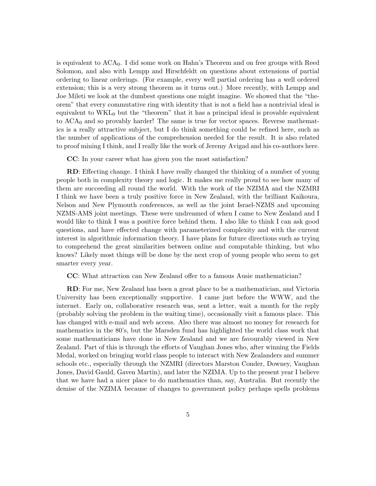is equivalent to ACA0. I did some work on Hahn's Theorem and on free groups with Reed Solomon, and also with Lempp and Hirschfeldt on questions about extensions of partial ordering to linear orderings. (For example, every well partial ordering has a well ordered extension; this is a very strong theorem as it turns out.) More recently, with Lempp and Joe Mileti we look at the dumbest questions one might imagine. We showed that the "theorem" that every commutative ring with identity that is not a field has a nontrivial ideal is equivalent to  $WKL_0$  but the "theorem" that it has a principal ideal is provable equivalent to  $ACA<sub>0</sub>$  and so provably harder! The same is true for vector spaces. Reverse mathematics is a really attractive subject, but I do think something could be refined here, such as the number of applications of the comprehension needed for the result. It is also related to proof mining I think, and I really like the work of Jeremy Avigad and his co-authors here.

CC: In your career what has given you the most satisfaction?

RD: Effecting change. I think I have really changed the thinking of a number of young people both in complexity theory and logic. It makes me really proud to see how many of them are succeeding all round the world. With the work of the NZIMA and the NZMRI I think we have been a truly positive force in New Zealand, with the brilliant Kaikoura, Nelson and New Plymouth conferences, as well as the joint Israel-NZMS and upcoming NZMS-AMS joint meetings. These were undreamed of when I came to New Zealand and I would like to think I was a positive force behind them. I also like to think I can ask good questions, and have effected change with parameterized complexity and with the current interest in algorithmic information theory. I have plans for future directions such as trying to comprehend the great similarities between online and computable thinking, but who knows? Likely most things will be done by the next crop of young people who seem to get smarter every year.

CC: What attraction can New Zealand offer to a famous Ausie mathematician?

RD: For me, New Zealand has been a great place to be a mathematician, and Victoria University has been exceptionally supportive. I came just before the WWW, and the internet. Early on, collaborative research was, sent a letter, wait a month for the reply (probably solving the problem in the waiting time), occasionally visit a famous place. This has changed with e-mail and web access. Also there was almost no money for research for mathematics in the 80's, but the Marsden fund has highlighted the world class work that some mathematicians have done in New Zealand and we are favourably viewed in New Zealand. Part of this is through the efforts of Vaughan Jones who, after winning the Fields Medal, worked on bringing world class people to interact with New Zealanders and summer schools etc., especially through the NZMRI (directors Marston Conder, Downey, Vaughan Jones, David Gauld, Gaven Martin), and later the NZIMA. Up to the present year I believe that we have had a nicer place to do mathematics than, say, Australia. But recently the demise of the NZIMA because of changes to government policy perhaps spells problems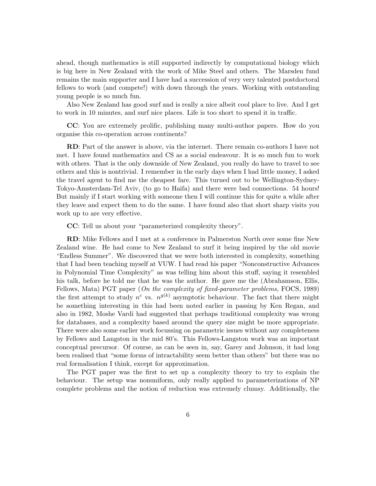ahead, though mathematics is still supported indirectly by computational biology which is big here in New Zealand with the work of Mike Steel and others. The Marsden fund remains the main supporter and I have had a succession of very very talented postdoctoral fellows to work (and compete!) with down through the years. Working with outstanding young people is so much fun.

Also New Zealand has good surf and is really a nice albeit cool place to live. And I get to work in 10 minutes, and surf nice places. Life is too short to spend it in traffic.

CC: You are extremely prolific, publishing many multi-author papers. How do you organise this co-operation across continents?

RD: Part of the answer is above, via the internet. There remain co-authors I have not met. I have found mathematics and CS as a social endeavour. It is so much fun to work with others. That is the only downside of New Zealand, you really do have to travel to see others and this is nontrivial. I remember in the early days when I had little money, I asked the travel agent to find me the cheapest fare. This turned out to be Wellington-Sydney-Tokyo-Amsterdam-Tel Aviv, (to go to Haifa) and there were bad connections. 54 hours! But mainly if I start working with someone then I will continue this for quite a while after they leave and expect them to do the same. I have found also that short sharp visits you work up to are very effective.

CC: Tell us about your "parameterized complexity theory".

RD: Mike Fellows and I met at a conference in Palmerston North over some fine New Zealand wine. He had come to New Zealand to surf it being inspired by the old movie "Endless Summer". We discovered that we were both interested in complexity, something that I had been teaching myself at VUW. I had read his paper "Nonconstructive Advances in Polynomial Time Complexity" as was telling him about this stuff, saying it resembled his talk, before he told me that he was the author. He gave me the (Abrahamson, Ellis, Fellows, Mata) PGT paper (*On the complexity of fixed-parameter problems*, FOCS, 1989) the first attempt to study  $n^c$  vs.  $n^{g(k)}$  asymptotic behaviour. The fact that there might be something interesting in this had been noted earlier in passing by Ken Regan, and also in 1982, Moshe Vardi had suggested that perhaps traditional complexity was wrong for databases, and a complexity based around the query size might be more appropriate. There were also some earlier work focussing on parametric issues without any completeness by Fellows and Langston in the mid 80's. This Fellows-Langston work was an important conceptual precursor. Of course, as can be seen in, say, Garey and Johnson, it had long been realised that "some forms of intractability seem better than others" but there was no real formalisation I think, except for approximation.

The PGT paper was the first to set up a complexity theory to try to explain the behaviour. The setup was nonuniform, only really applied to parameterizations of NP complete problems and the notion of reduction was extremely clumsy. Additionally, the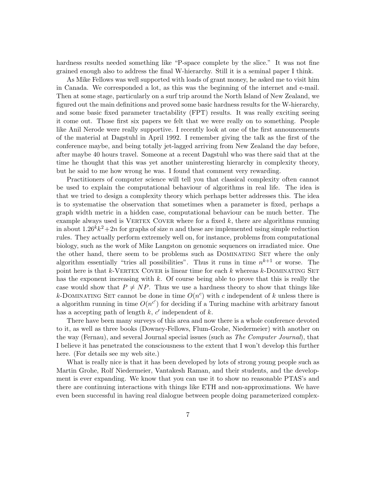hardness results needed something like "P-space complete by the slice." It was not fine grained enough also to address the final W-hierarchy. Still it is a seminal paper I think.

As Mike Fellows was well supported with loads of grant money, he asked me to visit him in Canada. We corresponded a lot, as this was the beginning of the internet and e-mail. Then at some stage, particularly on a surf trip around the North Island of New Zealand, we figured out the main definitions and proved some basic hardness results for the W-hierarchy, and some basic fixed parameter tractability (FPT) results. It was really exciting seeing it come out. Those first six papers we felt that we were really on to something. People like Anil Nerode were really supportive. I recently look at one of the first announcements of the material at Dagstuhl in April 1992. I remember giving the talk as the first of the conference maybe, and being totally jet-lagged arriving from New Zealand the day before, after maybe 40 hours travel. Someone at a recent Dagstuhl who was there said that at the time he thought that this was yet another uninteresting hierarchy in complexity theory, but he said to me how wrong he was. I found that comment very rewarding.

Practitioners of computer science will tell you that classical complexity often cannot be used to explain the computational behaviour of algorithms in real life. The idea is that we tried to design a complexity theory which perhaps better addresses this. The idea is to systematise the observation that sometimes when a parameter is fixed, perhaps a graph width metric in a hidden case, computational behaviour can be much better. The example always used is VERTEX COVER where for a fixed  $k$ , there are algorithms running in about  $1.26^k k^2 + 2n$  for graphs of size n and these are implemented using simple reduction rules. They actually perform extremely well on, for instance, problems from computational biology, such as the work of Mike Langston on genomic sequences on irradiated mice. One the other hand, there seem to be problems such as DOMINATING SET where the only algorithm essentially "tries all possibilities". Thus it runs in time  $n^{k+1}$  or worse. The point here is that  $k$ -VERTEX COVER is linear time for each  $k$  whereas  $k$ -DOMINATING SET has the exponent increasing with k. Of course being able to prove that this is really the case would show that  $P \neq NP$ . Thus we use a hardness theory to show that things like k-DOMINATING SET cannot be done in time  $O(n^c)$  with c independent of k unless there is a algorithm running in time  $O(n^{c'})$  for deciding if a Turing machine with arbitrary fanout has a accepting path of length  $k$ ,  $c'$  independent of  $k$ .

There have been many surveys of this area and now there is a whole conference devoted to it, as well as three books (Downey-Fellows, Flum-Grohe, Niedermeier) with another on the way (Fernau), and several Journal special issues (such as *The Computer Journal*), that I believe it has penetrated the consciousness to the extent that I won't develop this further here. (For details see my web site.)

What is really nice is that it has been developed by lots of strong young people such as Martin Grohe, Rolf Niedermeier, Vantakesh Raman, and their students, and the development is ever expanding. We know that you can use it to show no reasonable PTAS's and there are continuing interactions with things like ETH and non-approximations. We have even been successful in having real dialogue between people doing parameterized complex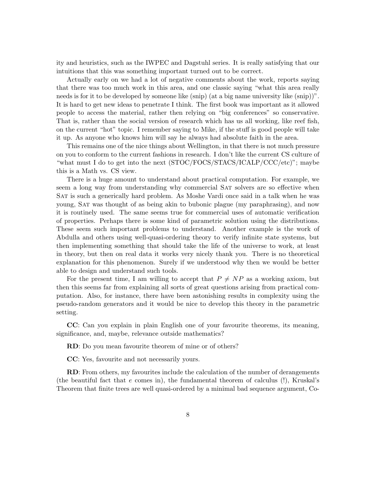ity and heuristics, such as the IWPEC and Dagstuhl series. It is really satisfying that our intuitions that this was something important turned out to be correct.

Actually early on we had a lot of negative comments about the work, reports saying that there was too much work in this area, and one classic saying "what this area really needs is for it to be developed by someone like (snip) (at a big name university like (snip))". It is hard to get new ideas to penetrate I think. The first book was important as it allowed people to access the material, rather then relying on "big conferences" so conservative. That is, rather than the social version of research which has us all working, like reef fish, on the current "hot" topic. I remember saying to Mike, if the stuff is good people will take it up. As anyone who knows him will say he always had absolute faith in the area.

This remains one of the nice things about Wellington, in that there is not much pressure on you to conform to the current fashions in research. I don't like the current CS culture of "what must I do to get into the next (STOC/FOCS/STACS/ICALP/CCC/etc)"; maybe this is a Math vs. CS view.

There is a huge amount to understand about practical computation. For example, we seem a long way from understanding why commercial SAT solvers are so effective when Sat is such a generically hard problem. As Moshe Vardi once said in a talk when he was young, Sat was thought of as being akin to bubonic plague (my paraphrasing), and now it is routinely used. The same seems true for commercial uses of automatic verification of properties. Perhaps there is some kind of parametric solution using the distributions. These seem such important problems to understand. Another example is the work of Abdulla and others using well-quasi-ordering theory to verify infinite state systems, but then implementing something that should take the life of the universe to work, at least in theory, but then on real data it works very nicely thank you. There is no theoretical explanation for this phenomenon. Surely if we understood why then we would be better able to design and understand such tools.

For the present time, I am willing to accept that  $P \neq NP$  as a working axiom, but then this seems far from explaining all sorts of great questions arising from practical computation. Also, for instance, there have been astonishing results in complexity using the pseudo-random generators and it would be nice to develop this theory in the parametric setting.

CC: Can you explain in plain English one of your favourite theorems, its meaning, significance, and, maybe, relevance outside mathematics?

RD: Do you mean favourite theorem of mine or of others?

CC: Yes, favourite and not necessarily yours.

RD: From others, my favourites include the calculation of the number of derangements (the beautiful fact that  $e$  comes in), the fundamental theorem of calculus  $(!)$ , Kruskal's Theorem that finite trees are well quasi-ordered by a minimal bad sequence argument, Co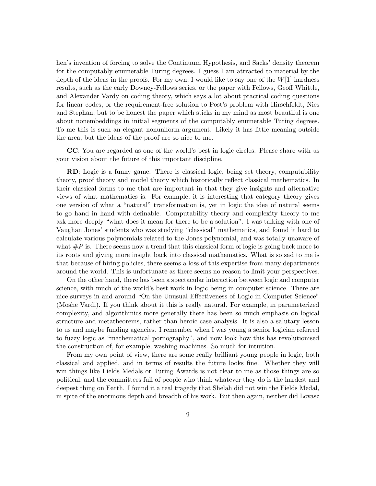hen's invention of forcing to solve the Continuum Hypothesis, and Sacks' density theorem for the computably enumerable Turing degrees. I guess I am attracted to material by the depth of the ideas in the proofs. For my own, I would like to say one of the  $W[1]$  hardness results, such as the early Downey-Fellows series, or the paper with Fellows, Geoff Whittle, and Alexander Vardy on coding theory, which says a lot about practical coding questions for linear codes, or the requirement-free solution to Post's problem with Hirschfeldt, Nies and Stephan, but to be honest the paper which sticks in my mind as most beautiful is one about nonembeddings in initial segments of the computably enumerable Turing degrees. To me this is such an elegant nonuniform argument. Likely it has little meaning outside the area, but the ideas of the proof are so nice to me.

CC: You are regarded as one of the world's best in logic circles. Please share with us your vision about the future of this important discipline.

RD: Logic is a funny game. There is classical logic, being set theory, computability theory, proof theory and model theory which historically reflect classical mathematics. In their classical forms to me that are important in that they give insights and alternative views of what mathematics is. For example, it is interesting that category theory gives one version of what a "natural" transformation is, yet in logic the idea of natural seems to go hand in hand with definable. Computability theory and complexity theory to me ask more deeply "what does it mean for there to be a solution". I was talking with one of Vaughan Jones' students who was studying "classical" mathematics, and found it hard to calculate various polynomials related to the Jones polynomial, and was totally unaware of what  $\#P$  is. There seems now a trend that this classical form of logic is going back more to its roots and giving more insight back into classical mathematics. What is so sad to me is that because of hiring policies, there seems a loss of this expertise from many departments around the world. This is unfortunate as there seems no reason to limit your perspectives.

On the other hand, there has been a spectacular interaction between logic and computer science, with much of the world's best work in logic being in computer science. There are nice surveys in and around "On the Unusual Effectiveness of Logic in Computer Science" (Moshe Vardi). If you think about it this is really natural. For example, in parameterized complexity, and algorithmics more generally there has been so much emphasis on logical structure and metatheorems, rather than heroic case analysis. It is also a salutary lesson to us and maybe funding agencies. I remember when I was young a senior logician referred to fuzzy logic as "mathematical pornography", and now look how this has revolutionised the construction of, for example, washing machines. So much for intuition.

From my own point of view, there are some really brilliant young people in logic, both classical and applied, and in terms of results the future looks fine. Whether they will win things like Fields Medals or Turing Awards is not clear to me as those things are so political, and the committees full of people who think whatever they do is the hardest and deepest thing on Earth. I found it a real tragedy that Shelah did not win the Fields Medal, in spite of the enormous depth and breadth of his work. But then again, neither did Lovasz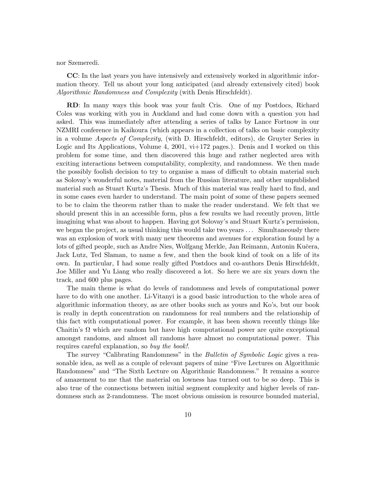nor Szemeredi.

CC: In the last years you have intensively and extensively worked in algorithmic information theory. Tell us about your long anticipated (and already extensively cited) book Algorithmic Randomness and Complexity (with Denis Hirschfeldt).

RD: In many ways this book was your fault Cris. One of my Postdocs, Richard Coles was working with you in Auckland and had come down with a question you had asked. This was immediately after attending a series of talks by Lance Fortnow in our NZMRI conference in Kaikoura (which appears in a collection of talks on basic complexity in a volume Aspects of Complexity, (with D. Hirschfeldt, editors), de Gruyter Series in Logic and Its Applications, Volume 4, 2001,  $vi+172$  pages.). Denis and I worked on this problem for some time, and then discovered this huge and rather neglected area with exciting interactions between computability, complexity, and randomness. We then made the possibly foolish decision to try to organise a mass of difficult to obtain material such as Solovay's wonderful notes, material from the Russian literature, and other unpublished material such as Stuart Kurtz's Thesis. Much of this material was really hard to find, and in some cases even harder to understand. The main point of some of these papers seemed to be to claim the theorem rather than to make the reader understand. We felt that we should present this in an accessible form, plus a few results we had recently proven, little imagining what was about to happen. Having got Solovay's and Stuart Kurtz's permission, we began the project, as usual thinking this would take two years ... Simultaneously there was an explosion of work with many new theorems and avenues for exploration found by a lots of gifted people, such as Andre Nies, Wolfgang Merkle, Jan Reimann, Antonin Kučera, Jack Lutz, Ted Slaman, to name a few, and then the book kind of took on a life of its own. In particular, I had some really gifted Postdocs and co-authors Denis Hirschfeldt, Joe Miller and Yu Liang who really discovered a lot. So here we are six years down the track, and 600 plus pages.

The main theme is what do levels of randomness and levels of computational power have to do with one another. Li-Vitanyi is a good basic introduction to the whole area of algorithmic information theory, as are other books such as yours and Ko's, but our book is really in depth concentration on randomness for real numbers and the relationship of this fact with computational power. For example, it has been shown recently things like Chaitin's  $\Omega$  which are random but have high computational power are quite exceptional amongst randoms, and almost all randoms have almost no computational power. This requires careful explanation, so buy the book!.

The survey "Calibrating Randomness" in the *Bulletin of Symbolic Logic* gives a reasonable idea, as well as a couple of relevant papers of mine "Five Lectures on Algorithmic Randomness" and "The Sixth Lecture on Algorithmic Randomness." It remains a source of amazement to me that the material on lowness has turned out to be so deep. This is also true of the connections between initial segment complexity and higher levels of randomness such as 2-randomness. The most obvious omission is resource bounded material,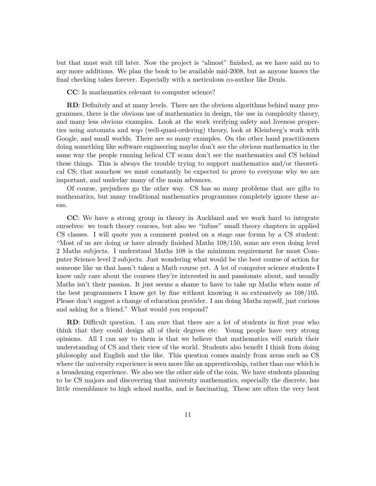but that must wait till later. Now the project is "almost" finished, as we have said no to any more additions. We plan the book to be available mid-2008, but as anyone knows the final checking takes forever. Especially with a meticulous co-author like Denis.

CC: Is mathematics relevant to computer science?

RD: Definitely and at many levels. There are the obvious algorithms behind many programmes, there is the obvious use of mathematics in design, the use in complexity theory, and many less obvious examples. Look at the work verifying safety and liveness properties using automata and wqo (well-quasi-ordering) theory, look at Kleinberg's work with Google, and small worlds. There are so many examples. On the other hand practitioners doing something like software engineering maybe don't see the obvious mathematics in the same way the people running helical CT scans don't see the mathematics and CS behind these things. This is always the trouble trying to support mathematics and/or theoretical CS; that somehow we must constantly be expected to prove to everyone why we are important, and underlay many of the main advances.

Of course, prejudices go the other way. CS has so many problems that are gifts to mathematics, but many traditional mathematics programmes completely ignore these areas.

CC: We have a strong group in theory in Auckland and we work hard to integrate ourselves: we teach theory courses, but also we "infuse" small theory chapters in applied CS classes. I will quote you a comment posted on a stage one forum by a CS student: "Most of us are doing or have already finished Maths 108/150, some are even doing level 2 Maths subjects. I understand Maths 108 is the minimum requirement for most Computer Science level 2 subjects. Just wondering what would be the best course of action for someone like us that hasn't taken a Math course yet. A lot of computer science students I know only care about the courses they're interested in and passionate about, and usually Maths isn't their passion. It just seems a shame to have to take up Maths when some of the best programmers I know get by fine without knowing it as extensively as 108/105. Please don't suggest a change of education provider. I am doing Maths myself, just curious and asking for a friend." What would you respond?

RD: Difficult question. I am sure that there are a lot of students in first year who think that they could design all of their degrees etc. Young people have very strong opinions. All I can say to them is that we believe that mathematics will enrich their understanding of CS and their view of the world. Students also benefit I think from doing philosophy and English and the like. This question comes mainly from areas such as CS where the university experience is seen more like an apprenticeship, rather than one which is a broadening experience. We also see the other side of the coin. We have students planning to be CS majors and discovering that university mathematics, especially the discrete, has little resemblance to high school maths, and is fascinating. These are often the very best